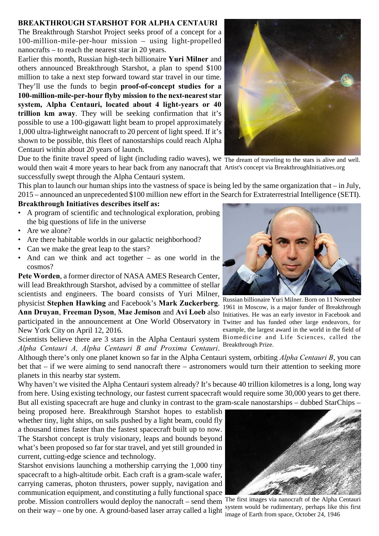## **BREAKTHROUGH STARSHOT FOR ALPHA CENTAURI**

The Breakthrough Starshot Project seeks proof of a concept for a 100-million-mile-per-hour mission – using light-propelled nanocrafts – to reach the nearest star in 20 years.

Earlier this month, Russian high-tech billionaire **Yuri Milner** and others announced Breakthrough Starshot, a plan to spend \$100 million to take a next step forward toward star travel in our time. They'll use the funds to begin **proof-of-concept studies for a 100-million-mile-per-hour flyby mission to the next-nearest star system, Alpha Centauri, located about 4 light-years or 40 trillion km away**. They will be seeking confirmation that it's possible to use a 100-gigawatt light beam to propel approximately 1,000 ultra-lightweight nanocraft to 20 percent of light speed. If it's shown to be possible, this fleet of nanostarships could reach Alpha Centauri within about 20 years of launch.



Due to the finite travel speed of light (including radio waves), we  $\overline{ }$  The dream of traveling to the stars is alive and well. would then wait 4 more years to hear back from any nanocraft that Artist's concept via BreakthroughInitiatives.org successfully swept through the Alpha Centauri system.

This plan to launch our human ships into the vastness of space is being led by the same organization that – in July, 2015 – announced an unprecedented \$100 million new effort in the Search for Extraterrestrial Intelligence (SETI).

## **Breakthrough Initiatives describes itself as:**

- A program of scientific and technological exploration, probing the big questions of life in the universe
- Are we alone?
- Are there habitable worlds in our galactic neighborhood?
- Can we make the great leap to the stars?
- And can we think and act together  $-$  as one world in the cosmos?

Ann Druyan, Freeman Dyson, Mae Jemison and Avi Loeb also Initiatives. He was an early investor in Facebook and participated in the announcement at One World Observatory in Twitter and has funded other large endeavors, for **Pete Worden**, a former director of NASA AMES Research Center, will lead Breakthrough Starshot, advised by a committee of stellar scientists and engineers. The board consists of Yuri Milner, physicist **Stephen Hawking** and Facebook's **Mark Zuckerberg**. New York City on April 12, 2016.

Scientists believe there are 3 stars in the Alpha Centauri system Biomedicine and Life Sciences, called the *Alpha Centauri A, Alpha Centauri B and Proxima Centauri*.

Although there's only one planet known so far in the Alpha Centauri system, orbiting *Alpha Centauri B*, you can bet that – if we were aiming to send nanocraft there – astronomers would turn their attention to seeking more planets in this nearby star system.

Why haven't we visited the Alpha Centauri system already? It's because 40 trillion kilometres is a long, long way from here. Using existing technology, our fastest current spacecraft would require some 30,000 years to get there. But all existing spacecraft are huge and clunky in contrast to the gram-scale nanostarships – dubbed StarChips –

being proposed here. Breakthrough Starshot hopes to establish whether tiny, light ships, on sails pushed by a light beam, could fly a thousand times faster than the fastest spacecraft built up to now. The Starshot concept is truly visionary, leaps and bounds beyond what's been proposed so far for star travel, and yet still grounded in current, cutting-edge science and technology.

probe. Mission controllers would deploy the nanocraft – send them The first images via nanocraft of the Alpha Centauri Starshot envisions launching a mothership carrying the 1,000 tiny spacecraft to a high-altitude orbit. Each craft is a gram-scale wafer, carrying cameras, photon thrusters, power supply, navigation and communication equipment, and constituting a fully functional space on their way – one by one. A ground-based laser array called a light



Russian billionaire Yuri Milner. Born on 11 November 1961 in Moscow, is a major funder of Breakthrough example, the largest award in the world in the field of

Breakthrough Prize.



system would be rudimentary, perhaps like this first image of Earth from space, October 24, 1946